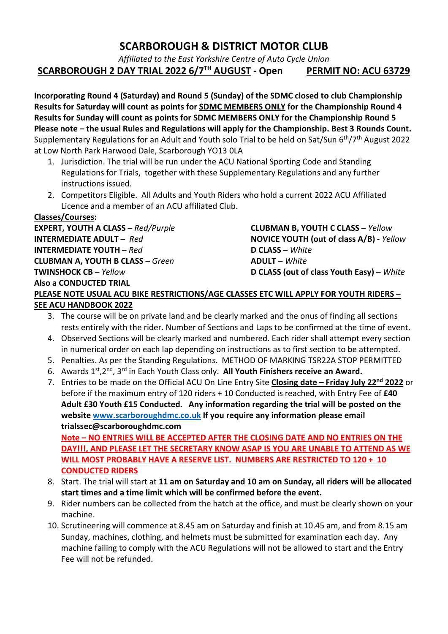## SCARBOROUGH & DISTRICT MOTOR CLUB

Affiliated to the East Yorkshire Centre of Auto Cycle Union

SCARBOROUGH 2 DAY TRIAL 2022 6/7<sup>TH</sup> AUGUST - Open PERMIT NO: ACU 63729

Incorporating Round 4 (Saturday) and Round 5 (Sunday) of the SDMC closed to club Championship Results for Saturday will count as points for **SDMC MEMBERS ONLY** for the Championship Round 4 Results for Sunday will count as points for **SDMC MEMBERS ONLY** for the Championship Round 5 Please note – the usual Rules and Regulations will apply for the Championship. Best 3 Rounds Count. Supplementary Regulations for an Adult and Youth solo Trial to be held on Sat/Sun 6th/7th August 2022 at Low North Park Harwood Dale, Scarborough YO13 0LA

- 1. Jurisdiction. The trial will be run under the ACU National Sporting Code and Standing Regulations for Trials, together with these Supplementary Regulations and any further instructions issued.
- 2. Competitors Eligible. All Adults and Youth Riders who hold a current 2022 ACU Affiliated Licence and a member of an ACU affiliated Club.

Classes/Courses: EXPERT, YOUTH A CLASS – Red/Purple CLUBMAN B, YOUTH C CLASS – Yellow **INTERMEDIATE YOUTH – Red** D **CLASS – White** CLUBMAN A, YOUTH B CLASS – Green ADULT – White Also a CONDUCTED TRIAL

INTERMEDIATE ADULT – Red NOVICE YOUTH (out of class A/B) - Yellow TWINSHOCK CB – Yellow D CLASS (out of class Youth Easy) – White

## PLEASE NOTE USUAL ACU BIKE RESTRICTIONS/AGE CLASSES ETC WILL APPLY FOR YOUTH RIDERS – SEE ACU HANDBOOK 2022

- 3. The course will be on private land and be clearly marked and the onus of finding all sections rests entirely with the rider. Number of Sections and Laps to be confirmed at the time of event.
- 4. Observed Sections will be clearly marked and numbered. Each rider shall attempt every section in numerical order on each lap depending on instructions as to first section to be attempted.
- 5. Penalties. As per the Standing Regulations. METHOD OF MARKING TSR22A STOP PERMITTED
- 6. Awards  $1^{st}$ ,  $2^{nd}$ ,  $3^{rd}$  in Each Youth Class only. All Youth Finishers receive an Award.
- 7. Entries to be made on the Official ACU On Line Entry Site Closing date Friday July 22<sup>nd</sup> 2022 or before if the maximum entry of 120 riders + 10 Conducted is reached, with Entry Fee of £40 Adult £30 Youth £15 Conducted. Any information regarding the trial will be posted on the website www.scarboroughdmc.co.uk If you require any information please email trialssec@scarboroughdmc.com

Note – NO ENTRIES WILL BE ACCEPTED AFTER THE CLOSING DATE AND NO ENTRIES ON THE DAY!!!, AND PLEASE LET THE SECRETARY KNOW ASAP IS YOU ARE UNABLE TO ATTEND AS WE WILL MOST PROBABLY HAVE A RESERVE LIST. NUMBERS ARE RESTRICTED TO 120 + 10 CONDUCTED RIDERS

- 8. Start. The trial will start at 11 am on Saturday and 10 am on Sunday, all riders will be allocated start times and a time limit which will be confirmed before the event.
- 9. Rider numbers can be collected from the hatch at the office, and must be clearly shown on your machine.
- 10. Scrutineering will commence at 8.45 am on Saturday and finish at 10.45 am, and from 8.15 am Sunday, machines, clothing, and helmets must be submitted for examination each day. Any machine failing to comply with the ACU Regulations will not be allowed to start and the Entry Fee will not be refunded.